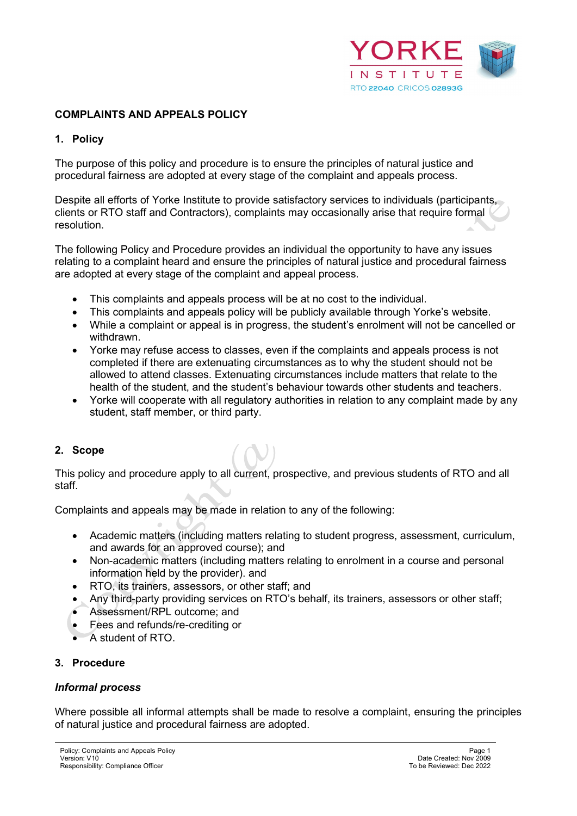

### **COMPLAINTS AND APPEALS POLICY**

#### **1. Policy**

The purpose of this policy and procedure is to ensure the principles of natural justice and procedural fairness are adopted at every stage of the complaint and appeals process.

Despite all efforts of Yorke Institute to provide satisfactory services to individuals (participants, clients or RTO staff and Contractors), complaints may occasionally arise that require formal resolution.

The following Policy and Procedure provides an individual the opportunity to have any issues relating to a complaint heard and ensure the principles of natural justice and procedural fairness are adopted at every stage of the complaint and appeal process.

- This complaints and appeals process will be at no cost to the individual.
- This complaints and appeals policy will be publicly available through Yorke's website.
- While a complaint or appeal is in progress, the student's enrolment will not be cancelled or withdrawn.
- Yorke may refuse access to classes, even if the complaints and appeals process is not completed if there are extenuating circumstances as to why the student should not be allowed to attend classes. Extenuating circumstances include matters that relate to the health of the student, and the student's behaviour towards other students and teachers.
- Yorke will cooperate with all regulatory authorities in relation to any complaint made by any student, staff member, or third party.

#### **2. Scope**

This policy and procedure apply to all current, prospective, and previous students of RTO and all staff.

Complaints and appeals may be made in relation to any of the following:

- Academic matters (including matters relating to student progress, assessment, curriculum, and awards for an approved course); and
- Non-academic matters (including matters relating to enrolment in a course and personal information held by the provider). and
- RTO, its trainers, assessors, or other staff; and
- Any third-party providing services on RTO's behalf, its trainers, assessors or other staff;
- Assessment/RPL outcome; and
- Fees and refunds/re-crediting or
- A student of RTO.

#### **3. Procedure**

#### *Informal process*

Where possible all informal attempts shall be made to resolve a complaint, ensuring the principles of natural justice and procedural fairness are adopted.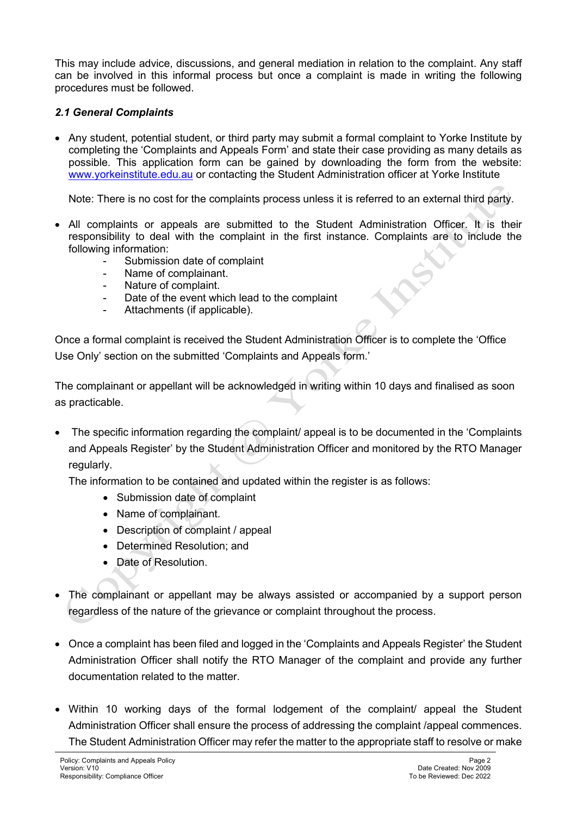This may include advice, discussions, and general mediation in relation to the complaint. Any staff can be involved in this informal process but once a complaint is made in writing the following procedures must be followed.

### *2.1 General Complaints*

• Any student, potential student, or third party may submit a formal complaint to Yorke Institute by completing the 'Complaints and Appeals Form' and state their case providing as many details as possible. This application form can be gained by downloading the form from the website: [www.yorkeinstitute.edu.au](http://www.yorkeinstitute.com/) or contacting the Student Administration officer at Yorke Institute

Note: There is no cost for the complaints process unless it is referred to an external third party.

- All complaints or appeals are submitted to the Student Administration Officer. It is their responsibility to deal with the complaint in the first instance. Complaints are to include the following information:
	- Submission date of complaint
	- Name of complainant.
	- Nature of complaint.
	- Date of the event which lead to the complaint
	- Attachments (if applicable).

Once a formal complaint is received the Student Administration Officer is to complete the 'Office Use Only' section on the submitted 'Complaints and Appeals form.'

The complainant or appellant will be acknowledged in writing within 10 days and finalised as soon as practicable.

• The specific information regarding the complaint/ appeal is to be documented in the 'Complaints' and Appeals Register' by the Student Administration Officer and monitored by the RTO Manager regularly.

The information to be contained and updated within the register is as follows:

- Submission date of complaint
- Name of complainant.
- Description of complaint / appeal
- Determined Resolution; and
- Date of Resolution.
- The complainant or appellant may be always assisted or accompanied by a support person regardless of the nature of the grievance or complaint throughout the process.
- Once a complaint has been filed and logged in the 'Complaints and Appeals Register' the Student Administration Officer shall notify the RTO Manager of the complaint and provide any further documentation related to the matter.
- Within 10 working days of the formal lodgement of the complaint/ appeal the Student Administration Officer shall ensure the process of addressing the complaint /appeal commences. The Student Administration Officer may refer the matter to the appropriate staff to resolve or make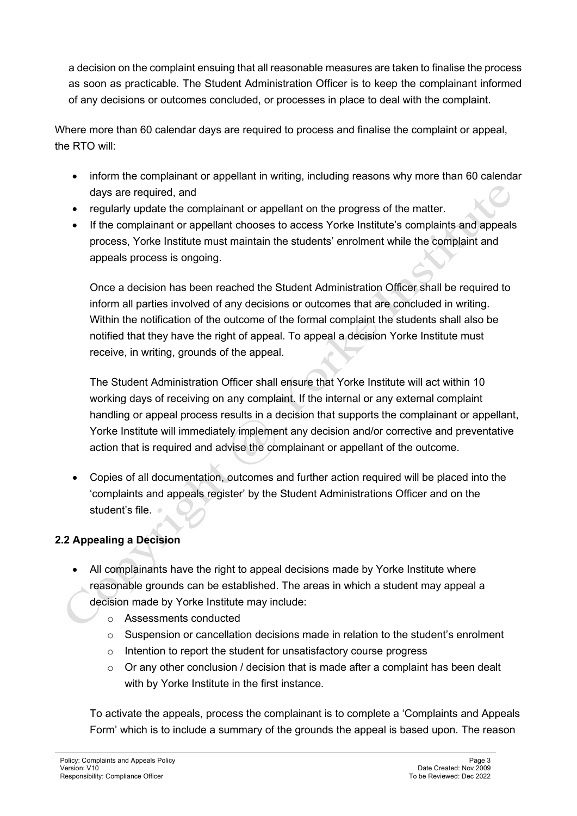a decision on the complaint ensuing that all reasonable measures are taken to finalise the process as soon as practicable. The Student Administration Officer is to keep the complainant informed of any decisions or outcomes concluded, or processes in place to deal with the complaint.

Where more than 60 calendar days are required to process and finalise the complaint or appeal, the RTO will:

- inform the complainant or appellant in writing, including reasons why more than 60 calendar days are required, and
- regularly update the complainant or appellant on the progress of the matter.
- If the complainant or appellant chooses to access Yorke Institute's complaints and appeals process, Yorke Institute must maintain the students' enrolment while the complaint and appeals process is ongoing.

Once a decision has been reached the Student Administration Officer shall be required to inform all parties involved of any decisions or outcomes that are concluded in writing. Within the notification of the outcome of the formal complaint the students shall also be notified that they have the right of appeal. To appeal a decision Yorke Institute must receive, in writing, grounds of the appeal.

The Student Administration Officer shall ensure that Yorke Institute will act within 10 working days of receiving on any complaint. If the internal or any external complaint handling or appeal process results in a decision that supports the complainant or appellant, Yorke Institute will immediately implement any decision and/or corrective and preventative action that is required and advise the complainant or appellant of the outcome.

• Copies of all documentation, outcomes and further action required will be placed into the 'complaints and appeals register' by the Student Administrations Officer and on the student's file.  $\bullet$ 

# **2.2 Appealing a Decision**

- All complainants have the right to appeal decisions made by Yorke Institute where reasonable grounds can be established. The areas in which a student may appeal a decision made by Yorke Institute may include:
	- o Assessments conducted
	- $\circ$  Suspension or cancellation decisions made in relation to the student's enrolment
	- o Intention to report the student for unsatisfactory course progress
	- $\circ$  Or any other conclusion / decision that is made after a complaint has been dealt with by Yorke Institute in the first instance.

To activate the appeals, process the complainant is to complete a 'Complaints and Appeals Form' which is to include a summary of the grounds the appeal is based upon. The reason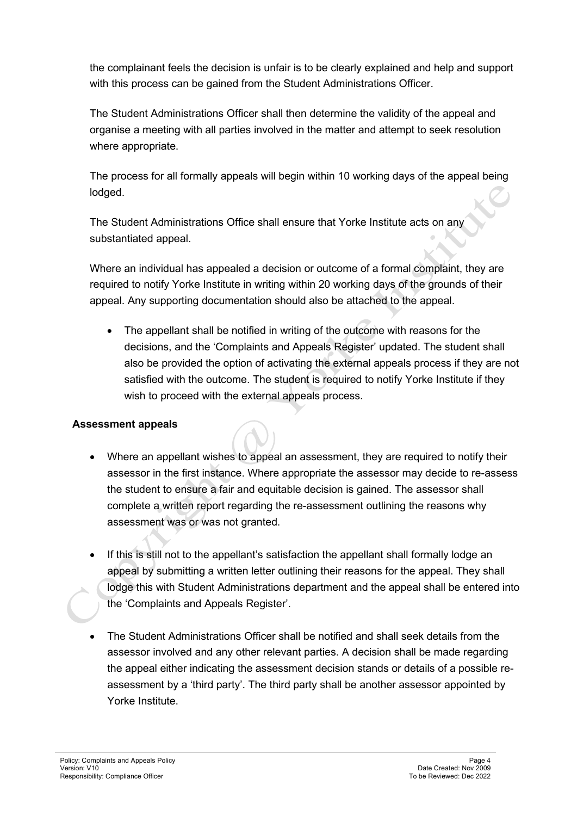the complainant feels the decision is unfair is to be clearly explained and help and support with this process can be gained from the Student Administrations Officer.

The Student Administrations Officer shall then determine the validity of the appeal and organise a meeting with all parties involved in the matter and attempt to seek resolution where appropriate.

The process for all formally appeals will begin within 10 working days of the appeal being lodged.

The Student Administrations Office shall ensure that Yorke Institute acts on any substantiated appeal.

Where an individual has appealed a decision or outcome of a formal complaint, they are required to notify Yorke Institute in writing within 20 working days of the grounds of their appeal. Any supporting documentation should also be attached to the appeal.

• The appellant shall be notified in writing of the outcome with reasons for the decisions, and the 'Complaints and Appeals Register' updated. The student shall also be provided the option of activating the external appeals process if they are not satisfied with the outcome. The student is required to notify Yorke Institute if they wish to proceed with the external appeals process.

# **Assessment appeals**

- Where an appellant wishes to appeal an assessment, they are required to notify their assessor in the first instance. Where appropriate the assessor may decide to re-assess the student to ensure a fair and equitable decision is gained. The assessor shall complete a written report regarding the re-assessment outlining the reasons why assessment was or was not granted.
- If this is still not to the appellant's satisfaction the appellant shall formally lodge an appeal by submitting a written letter outlining their reasons for the appeal. They shall lodge this with Student Administrations department and the appeal shall be entered into the 'Complaints and Appeals Register'.
- The Student Administrations Officer shall be notified and shall seek details from the assessor involved and any other relevant parties. A decision shall be made regarding the appeal either indicating the assessment decision stands or details of a possible reassessment by a 'third party'. The third party shall be another assessor appointed by Yorke Institute.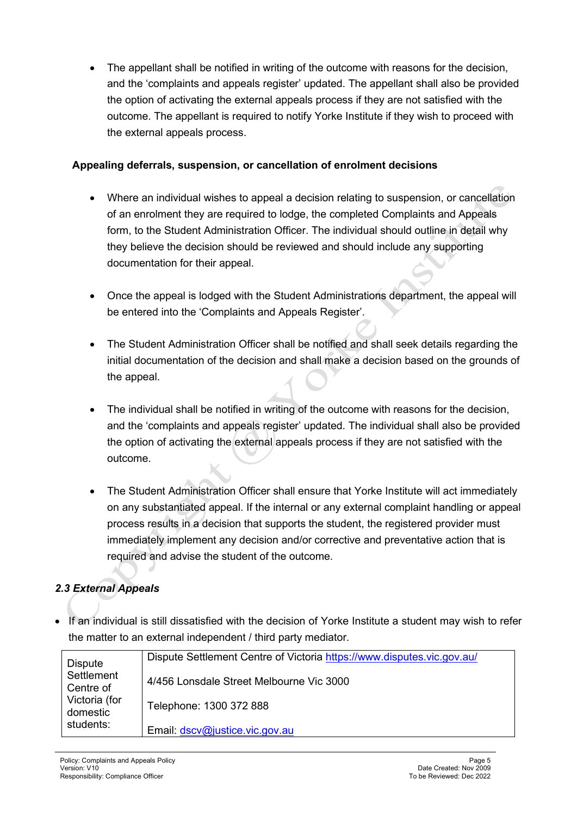• The appellant shall be notified in writing of the outcome with reasons for the decision, and the 'complaints and appeals register' updated. The appellant shall also be provided the option of activating the external appeals process if they are not satisfied with the outcome. The appellant is required to notify Yorke Institute if they wish to proceed with the external appeals process.

## **Appealing deferrals, suspension, or cancellation of enrolment decisions**

- Where an individual wishes to appeal a decision relating to suspension, or cancellation of an enrolment they are required to lodge, the completed Complaints and Appeals form, to the Student Administration Officer. The individual should outline in detail why they believe the decision should be reviewed and should include any supporting documentation for their appeal.
- Once the appeal is lodged with the Student Administrations department, the appeal will be entered into the 'Complaints and Appeals Register'.
- The Student Administration Officer shall be notified and shall seek details regarding the initial documentation of the decision and shall make a decision based on the grounds of the appeal.
- The individual shall be notified in writing of the outcome with reasons for the decision, and the 'complaints and appeals register' updated. The individual shall also be provided the option of activating the external appeals process if they are not satisfied with the outcome.
- The Student Administration Officer shall ensure that Yorke Institute will act immediately on any substantiated appeal. If the internal or any external complaint handling or appeal process results in a decision that supports the student, the registered provider must immediately implement any decision and/or corrective and preventative action that is required and advise the student of the outcome.

# *2.3 External Appeals*

• If an individual is still dissatisfied with the decision of Yorke Institute a student may wish to refer the matter to an external independent / third party mediator.

| <b>Dispute</b>            | Dispute Settlement Centre of Victoria https://www.disputes.vic.gov.au/ |
|---------------------------|------------------------------------------------------------------------|
| Settlement<br>Centre of   | 4/456 Lonsdale Street Melbourne Vic 3000                               |
| Victoria (for<br>domestic | Telephone: 1300 372 888                                                |
| students:                 | Email: dscv@justice.vic.gov.au                                         |